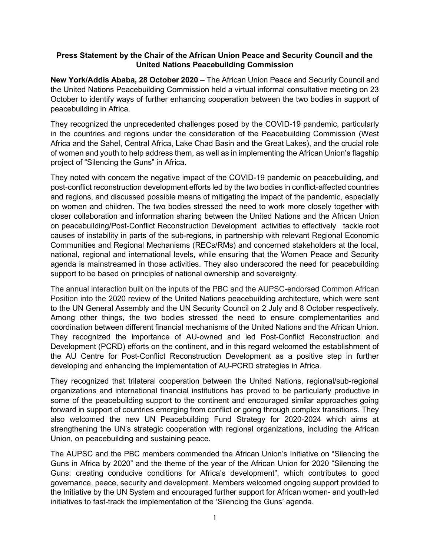## Press Statement by the Chair of the African Union Peace and Security Council and the United Nations Peacebuilding Commission

New York/Addis Ababa, 28 October 2020 – The African Union Peace and Security Council and the United Nations Peacebuilding Commission held a virtual informal consultative meeting on 23 October to identify ways of further enhancing cooperation between the two bodies in support of peacebuilding in Africa.

They recognized the unprecedented challenges posed by the COVID-19 pandemic, particularly in the countries and regions under the consideration of the Peacebuilding Commission (West Africa and the Sahel, Central Africa, Lake Chad Basin and the Great Lakes), and the crucial role of women and youth to help address them, as well as in implementing the African Union's flagship project of "Silencing the Guns" in Africa.

They noted with concern the negative impact of the COVID-19 pandemic on peacebuilding, and post-conflict reconstruction development efforts led by the two bodies in conflict-affected countries and regions, and discussed possible means of mitigating the impact of the pandemic, especially on women and children. The two bodies stressed the need to work more closely together with closer collaboration and information sharing between the United Nations and the African Union on peacebuilding/Post-Conflict Reconstruction Development activities to effectively tackle root causes of instability in parts of the sub-regions, in partnership with relevant Regional Economic Communities and Regional Mechanisms (RECs/RMs) and concerned stakeholders at the local, national, regional and international levels, while ensuring that the Women Peace and Security agenda is mainstreamed in those activities. They also underscored the need for peacebuilding support to be based on principles of national ownership and sovereignty.

The annual interaction built on the inputs of the PBC and the AUPSC-endorsed Common African Position into the 2020 review of the United Nations peacebuilding architecture, which were sent to the UN General Assembly and the UN Security Council on 2 July and 8 October respectively. Among other things, the two bodies stressed the need to ensure complementarities and coordination between different financial mechanisms of the United Nations and the African Union. They recognized the importance of AU-owned and led Post-Conflict Reconstruction and Development (PCRD) efforts on the continent, and in this regard welcomed the establishment of the AU Centre for Post-Conflict Reconstruction Development as a positive step in further developing and enhancing the implementation of AU-PCRD strategies in Africa.

They recognized that trilateral cooperation between the United Nations, regional/sub-regional organizations and international financial institutions has proved to be particularly productive in some of the peacebuilding support to the continent and encouraged similar approaches going forward in support of countries emerging from conflict or going through complex transitions. They also welcomed the new UN Peacebuilding Fund Strategy for 2020-2024 which aims at strengthening the UN's strategic cooperation with regional organizations, including the African Union, on peacebuilding and sustaining peace.

The AUPSC and the PBC members commended the African Union's Initiative on "Silencing the Guns in Africa by 2020" and the theme of the year of the African Union for 2020 "Silencing the Guns: creating conducive conditions for Africa's development", which contributes to good governance, peace, security and development. Members welcomed ongoing support provided to the Initiative by the UN System and encouraged further support for African women- and youth-led initiatives to fast-track the implementation of the 'Silencing the Guns' agenda.